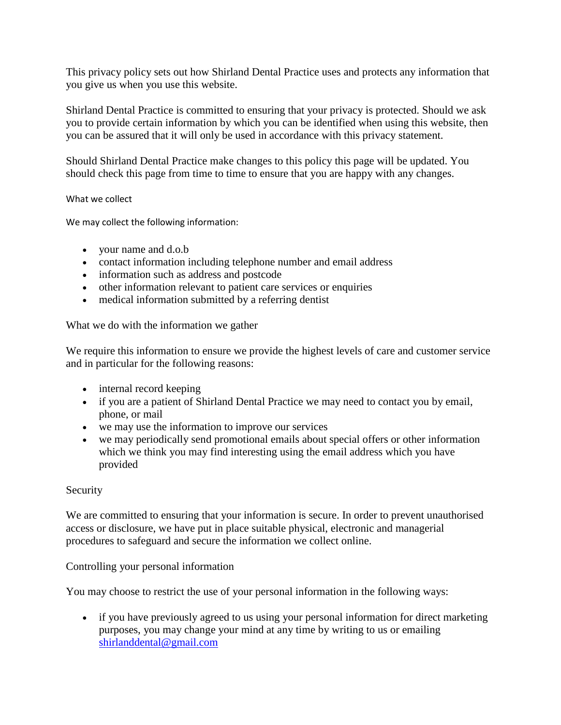This privacy policy sets out how Shirland Dental Practice uses and protects any information that you give us when you use this website.

Shirland Dental Practice is committed to ensuring that your privacy is protected. Should we ask you to provide certain information by which you can be identified when using this website, then you can be assured that it will only be used in accordance with this privacy statement.

Should Shirland Dental Practice make changes to this policy this page will be updated. You should check this page from time to time to ensure that you are happy with any changes.

What we collect

We may collect the following information:

- your name and d.o.b
- contact information including telephone number and email address
- information such as address and postcode
- other information relevant to patient care services or enquiries
- medical information submitted by a referring dentist

What we do with the information we gather

We require this information to ensure we provide the highest levels of care and customer service and in particular for the following reasons:

- internal record keeping
- if you are a patient of Shirland Dental Practice we may need to contact you by email, phone, or mail
- we may use the information to improve our services
- we may periodically send promotional emails about special offers or other information which we think you may find interesting using the email address which you have provided

## **Security**

We are committed to ensuring that your information is secure. In order to prevent unauthorised access or disclosure, we have put in place suitable physical, electronic and managerial procedures to safeguard and secure the information we collect online.

## Controlling your personal information

You may choose to restrict the use of your personal information in the following ways:

• if you have previously agreed to us using your personal information for direct marketing purposes, you may change your mind at any time by writing to us or emailing [shirlanddental@gmail.com](mailto:shirlanddental@gmail.com)